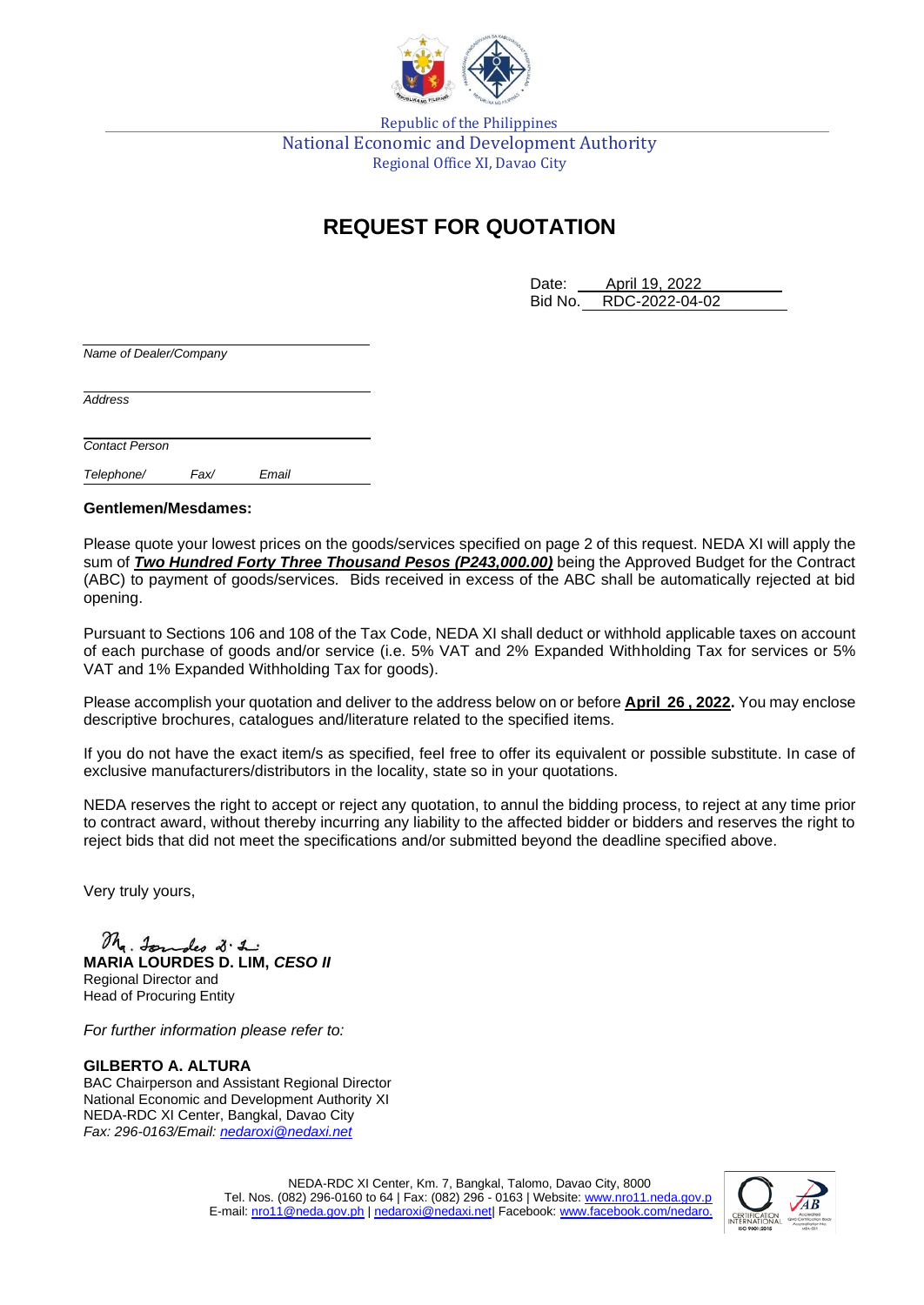

Republic of the Philippines National Economic and Development Authority Regional Office XI, Davao City

## **REQUEST FOR QUOTATION**

Date: April 19, 2022 Bid No. RDC-2022-04-02

*Name of Dealer/Company*

*Address*

*Contact Person*

*Telephone/ Fax/ Email*

## **Gentlemen/Mesdames:**

Please quote your lowest prices on the goods/services specified on page 2 of this request. NEDA XI will apply the sum of *Two Hundred Forty Three Thousand Pesos (P243,000.00)* being the Approved Budget for the Contract (ABC) to payment of goods/services*.* Bids received in excess of the ABC shall be automatically rejected at bid opening.

Pursuant to Sections 106 and 108 of the Tax Code, NEDA XI shall deduct or withhold applicable taxes on account of each purchase of goods and/or service (i.e. 5% VAT and 2% Expanded Withholding Tax for services or 5% VAT and 1% Expanded Withholding Tax for goods).

Please accomplish your quotation and deliver to the address below on or before **April 26 , 2022.** You may enclose descriptive brochures, catalogues and/literature related to the specified items.

If you do not have the exact item/s as specified, feel free to offer its equivalent or possible substitute. In case of exclusive manufacturers/distributors in the locality, state so in your quotations.

NEDA reserves the right to accept or reject any quotation, to annul the bidding process, to reject at any time prior to contract award, without thereby incurring any liability to the affected bidder or bidders and reserves the right to reject bids that did not meet the specifications and/or submitted beyond the deadline specified above.

Very truly yours,

## Mr. Jondes 2.2.

**MARIA LOURDES D. LIM,** *CESO II* Regional Director and Head of Procuring Entity

*For further information please refer to:*

**GILBERTO A. ALTURA** BAC Chairperson and Assistant Regional Director National Economic and Development Authority XI NEDA-RDC XI Center, Bangkal, Davao City *Fax: 296-0163/Email: [nedaroxi@nedaxi.net](mailto:nedaroxi@nedaxi.net)*